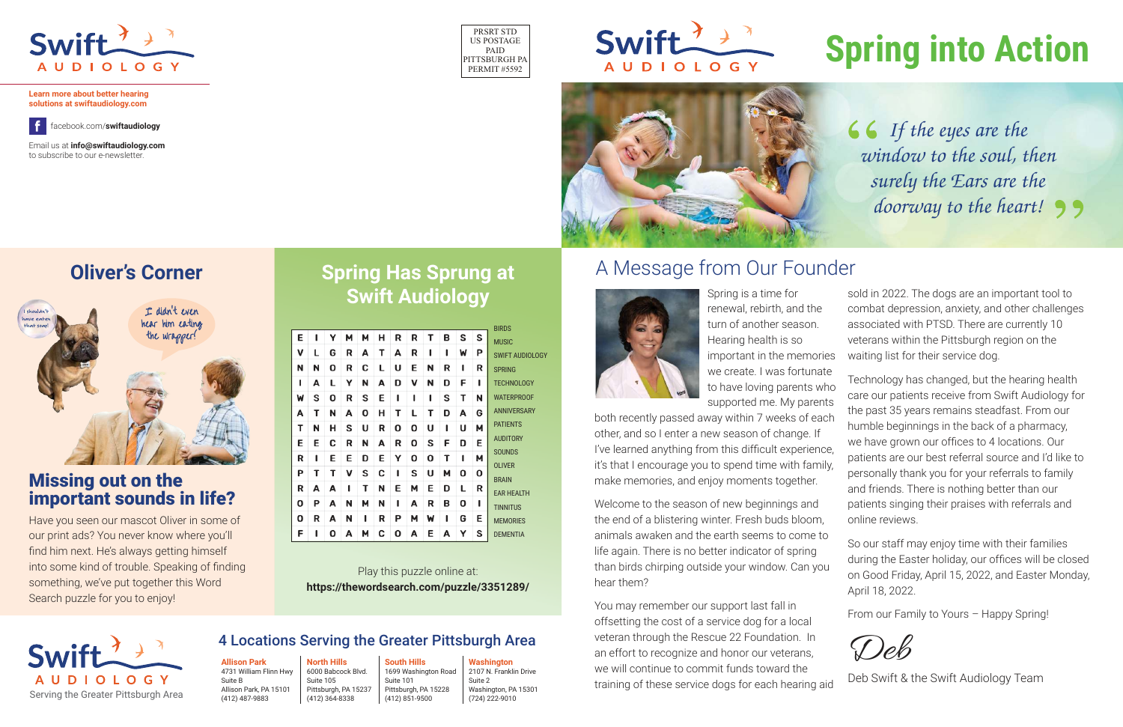Have you seen our mascot Oliver in some of our print ads? You never know where you'll find him next. He's always getting himself into some kind of trouble. Speaking of finding something, we've put together this Word Search puzzle for you to enjoy!

# **Spring into Action**

PRSRT STD US POSTAGE PAID PITTSBURGH PA PERMIT #5592





#### **Oliver's Corner A Message from Our Founder**





**Learn more about better hearing solutions at swiftaudiology.com**

f.

Email us at **info@swiftaudiology.com** to subscribe to our e-newsletter.

facebook.com/**swiftaudiology**



#### 4 Locations Serving the Greater Pittsburgh Area

**Allison Park**  4731 William Flinn Hwy Suite B Allison Park, PA 15101 (412) 487-9883

**North Hills** 6000 Babcock Blvd. Suite 105 Pittsburgh, PA 15237 (412) 364-8338

**South Hills** 1699 Washington Road Suite 101 Pittsburgh, PA 15228 (412) 851-9500

**Washington** 2107 N. Franklin Drive Suite 2 Washington, PA 15301 (724) 222-9010



Spring is a time for renewal, rebirth, and the turn of another season. Hearing health is so important in the memories

we create. I was fortunate to have loving parents who supported me. My parents both recently passed away within 7 weeks of each other, and so I enter a new season of change. If I've learned anything from this difficult experience, it's that I encourage you to spend time with family, make memories, and enjoy moments together. Technology has changed, but the hearing health care our patients receive from Swift Audiology for the past 35 years remains steadfast. From our humble beginnings in the back of a pharmacy, we have grown our offices to 4 locations. Our patients are our best referral source and I'd like to personally thank you for your referrals to family and friends. There is nothing better than our patients singing their praises with referrals and online reviews.

sold in 2022. The dogs are an important tool to combat depression, anxiety, and other challenges associated with PTSD. There are currently 10 veterans within the Pittsburgh region on the waiting list for their service dog.

Welcome to the season of new beginnings and the end of a blistering winter. Fresh buds bloom, animals awaken and the earth seems to come to life again. There is no better indicator of spring than birds chirping outside your window. Can you hear them? So our staff may enjoy time with their families during the Easter holiday, our offices will be closed on Good Friday, April 15, 2022, and Easter Monday, April 18, 2022.

You may remember our support last fall in offsetting the cost of a service dog for a local veteran through the Rescue 22 Foundation. In an effort to recognize and honor our veterans, we will continue to commit funds toward the training of these service dogs for each hearing aid Deb Deb Swift & the Swift Audiology Team

From our Family to Yours – Happy Spring!

## **Spring Has Sprung at Swift Audiology**

|   |   |   |   |   |   |   |   |   |   |   |   | <b>BIRDS</b>           |
|---|---|---|---|---|---|---|---|---|---|---|---|------------------------|
| E | ı | Υ | м | М | н | R | R | Т | B | S | S | <b>MUSIC</b>           |
| v | L | G | R | A | Τ | A | R | ı | ı | W | Ρ | <b>SWIFT AUDIOLOGY</b> |
| N | N | O | R | C | L | U | E | N | R | ı | R | <b>SPRING</b>          |
| ı | A | L | Υ | N | A | D | v | N | D | F | ı | <b>TECHNOLOGY</b>      |
| W | S | Ο | R | S | E | ı | ı | ı | S | Т | N | <b>WATERPROOF</b>      |
| A | Т | N | A | О | н | Т | L | Т | D | А | G | <b>ANNIVERSARY</b>     |
| т | N | н | s | U | R | О | О | U | ı | U | М | <b>PATIENTS</b>        |
| E | Е | С | R | N | A | R | О | s | F | D | E | <b>AUDITORY</b>        |
| R | ı | E | Е | D | E | Y | O | O | Т | ı | М | <b>SOUNDS</b>          |
| Ρ | Т | т | v | S | C | ı | S | U | м | 0 | 0 | <b>OLIVER</b>          |
| R | A | A | ı | т | N | E | м | E | D | L | R | <b>BRAIN</b>           |
| 0 | Ρ | A | N | м | N | ı | A | R | В | 0 | ı | <b>EAR HEALTH</b>      |
|   |   |   |   |   |   |   |   |   |   |   |   | <b>TINNITUS</b>        |
| 0 | R | A | N | ı | R | Р | м | W | ı | G | Е | <b>MEMORIES</b>        |
| F | ı | Ο | A | м | C | Ο | A | E | A | Υ | s | <b>DEMENTIA</b>        |

Play this puzzle online at: **https://thewordsearch.com/puzzle/3351289/** *If the eyes are the window to the soul, then surely the Ears are the doorway to the heart!*

#### Missing out on the important sounds in life?